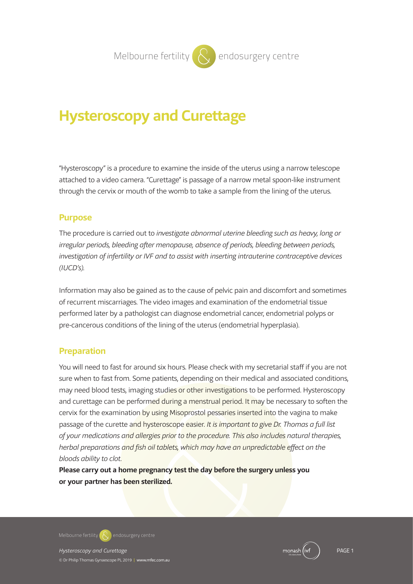# **Hysteroscopy and Curettage**

"Hysteroscopy" is a procedure to examine the inside of the uterus using a narrow telescope attached to a video camera. "Curettage" is passage of a narrow metal spoon-like instrument through the cervix or mouth of the womb to take a sample from the lining of the uterus.

## **Purpose**

The procedure is carried out to investigate abnormal uterine bleeding such as heavy, long or irregular periods, bleeding after menopause, absence of periods, bleeding between periods, investigation of infertility or IVF and to assist with inserting intrauterine contraceptive devices (IUCD's).

Information may also be gained as to the cause of pelvic pain and discomfort and sometimes of recurrent miscarriages. The video images and examination of the endometrial tissue performed later by a pathologist can diagnose endometrial cancer, endometrial polyps or pre-cancerous conditions of the lining of the uterus (endometrial hyperplasia).

#### **Preparation**

You will need to fast for around six hours. Please check with my secretarial staff if you are not sure when to fast from. Some patients, depending on their medical and associated conditions, may need blood tests, imaging studies or other investigations to be performed. Hysteroscopy and curettage can be performed during a menstrual period. It may be necessary to soften the cervix for the examination by using Misoprostol pessaries inserted into the vagina to make passage of the curette and hysteroscope easier. It is important to give Dr. Thomas a full list of your medications and allergies prior to the procedure. This also includes natural therapies, herbal preparations and fish oil tablets, which may have an unpredictable effect on the bloods ability to clot.

**Please carry out a home pregnancy test the day before the surgery unless you or your partner has been sterilized.**

**Melbourne fertility**  $\mathbb{R}$  endosurgery centre

Hysteroscopy and Curettage **PAGE 1** and Curettage PAGE 1 and PAGE 1 and PAGE 1 and PAGE 1 and PAGE 1

© Dr Philip Thomas Gynaescope PL 2019 **|** www.mfec.com.au

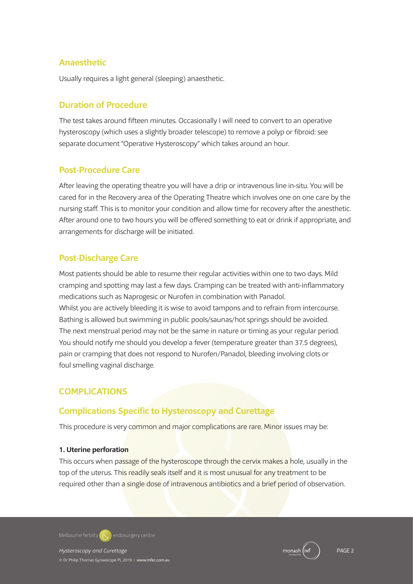### **Anaesthetic**

Usually requires a light general (sleeping) anaesthetic.

#### **Duration of Procedure**

The test takes around fifteen minutes. Occasionally I will need to convert to an operative hysteroscopy (which uses a slightly broader telescope) to remove a polyp or fibroid: see separate document "Operative Hysteroscopy" which takes around an hour.

## **Post-Procedure Care**

After leaving the operating theatre you will have a drip or intravenous line in-situ. You will be cared for in the Recovery area of the Operating Theatre which involves one on one care by the nursing staff. This is to monitor your condition and allow time for recovery after the anesthetic. After around one to two hours you will be offered something to eat or drink if appropriate, and arrangements for discharge will be initiated.

## **Post-Discharge Care**

Most patients should be able to resume their regular activities within one to two days. Mild cramping and spotting may last a few days. Cramping can be treated with anti-inflammatory medications such as Naprogesic or Nurofen in combination with Panadol. Whilst you are actively bleeding it is wise to avoid tampons and to refrain from intercourse. Bathing is allowed but swimming in public pools/saunas/hot springs should be avoided. The next menstrual period may not be the same in nature or timing as your regular period. You should notify me should you develop a fever (temperature greater than 37.5 degrees), pain or cramping that does not respond to Nurofen/Panadol, bleeding involving clots or foul smelling vaginal discharge.

## **COMPLICATIONS**

## **Complications Specific to Hysteroscopy and Curettage**

This procedure is very common and major complications are rare. Minor issues may be:

#### **1. Uterine perforation**

This occurs when passage of the hysteroscope through the cervix makes a hole, usually in the top of the uterus. This readily seals itself and it is most unusual for any treatment to be required other than a single dose of intravenous antibiotics and a brief period of observation.

**Melbourne fertility**  $\mathbb{R}$  endosurgery centre

Hysteroscopy and Curettage **PAGE 2** and Curettage PAGE 2 and PAGE 2 and PAGE 2 and PAGE 2 and PAGE 2 and PAGE 2 and PAGE 2 and PAGE 2 and PAGE 2 and PAGE 2 and PAGE 2 and PAGE 2 and PAGE 2 and PAGE 2 and PAGE 2 and PAGE 2 © Dr Philip Thomas Gynaescope PL 2019 **|** www.mfec.com.au